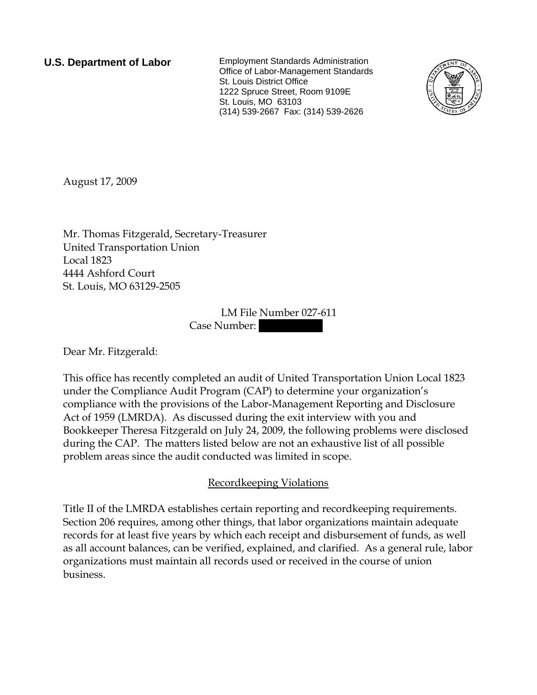**U.S. Department of Labor** Employment Standards Administration Office of Labor-Management Standards St. Louis District Office 1222 Spruce Street, Room 9109E St. Louis, MO 63103 (314) 539-2667 Fax: (314) 539-2626



August 17, 2009

Mr. Thomas Fitzgerald, Secretary-Treasurer United Transportation Union Local 1823 4444 Ashford Court St. Louis, MO 63129-2505

> LM File Number 027-611 Case Number:

Dear Mr. Fitzgerald:

This office has recently completed an audit of United Transportation Union Local 1823 under the Compliance Audit Program (CAP) to determine your organization's compliance with the provisions of the Labor-Management Reporting and Disclosure Act of 1959 (LMRDA). As discussed during the exit interview with you and Bookkeeper Theresa Fitzgerald on July 24, 2009, the following problems were disclosed during the CAP. The matters listed below are not an exhaustive list of all possible problem areas since the audit conducted was limited in scope.

## Recordkeeping Violations

Title II of the LMRDA establishes certain reporting and recordkeeping requirements. Section 206 requires, among other things, that labor organizations maintain adequate records for at least five years by which each receipt and disbursement of funds, as well as all account balances, can be verified, explained, and clarified. As a general rule, labor organizations must maintain all records used or received in the course of union business.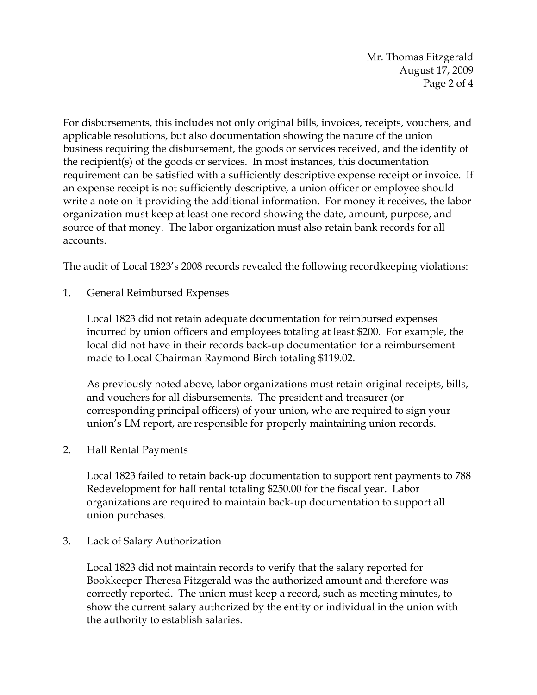Mr. Thomas Fitzgerald August 17, 2009 Page 2 of 4

For disbursements, this includes not only original bills, invoices, receipts, vouchers, and applicable resolutions, but also documentation showing the nature of the union business requiring the disbursement, the goods or services received, and the identity of the recipient(s) of the goods or services. In most instances, this documentation requirement can be satisfied with a sufficiently descriptive expense receipt or invoice. If an expense receipt is not sufficiently descriptive, a union officer or employee should write a note on it providing the additional information. For money it receives, the labor organization must keep at least one record showing the date, amount, purpose, and source of that money. The labor organization must also retain bank records for all accounts.

The audit of Local 1823's 2008 records revealed the following recordkeeping violations:

1. General Reimbursed Expenses

Local 1823 did not retain adequate documentation for reimbursed expenses incurred by union officers and employees totaling at least \$200. For example, the local did not have in their records back-up documentation for a reimbursement made to Local Chairman Raymond Birch totaling \$119.02.

As previously noted above, labor organizations must retain original receipts, bills, and vouchers for all disbursements. The president and treasurer (or corresponding principal officers) of your union, who are required to sign your union's LM report, are responsible for properly maintaining union records.

2. Hall Rental Payments

Local 1823 failed to retain back-up documentation to support rent payments to 788 Redevelopment for hall rental totaling \$250.00 for the fiscal year. Labor organizations are required to maintain back-up documentation to support all union purchases.

3. Lack of Salary Authorization

Local 1823 did not maintain records to verify that the salary reported for Bookkeeper Theresa Fitzgerald was the authorized amount and therefore was correctly reported. The union must keep a record, such as meeting minutes, to show the current salary authorized by the entity or individual in the union with the authority to establish salaries.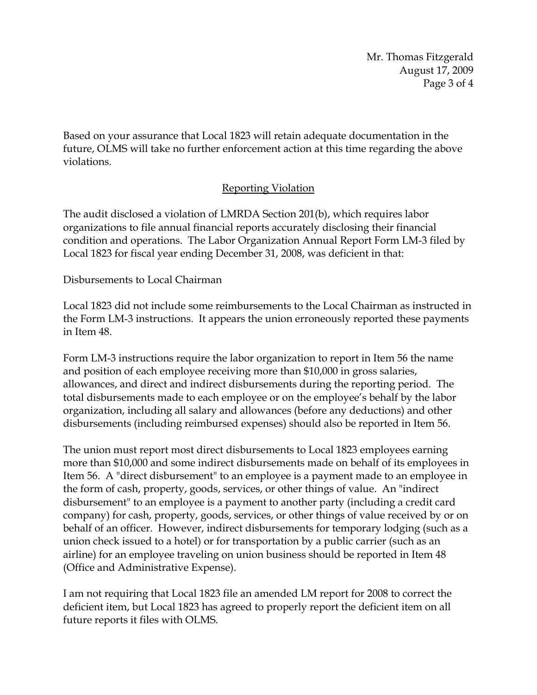Mr. Thomas Fitzgerald August 17, 2009 Page 3 of 4

Based on your assurance that Local 1823 will retain adequate documentation in the future, OLMS will take no further enforcement action at this time regarding the above violations.

## Reporting Violation

The audit disclosed a violation of LMRDA Section 201(b), which requires labor organizations to file annual financial reports accurately disclosing their financial condition and operations. The Labor Organization Annual Report Form LM-3 filed by Local 1823 for fiscal year ending December 31, 2008, was deficient in that:

## Disbursements to Local Chairman

Local 1823 did not include some reimbursements to the Local Chairman as instructed in the Form LM-3 instructions. It appears the union erroneously reported these payments in Item 48.

Form LM-3 instructions require the labor organization to report in Item 56 the name and position of each employee receiving more than \$10,000 in gross salaries, allowances, and direct and indirect disbursements during the reporting period. The total disbursements made to each employee or on the employee's behalf by the labor organization, including all salary and allowances (before any deductions) and other disbursements (including reimbursed expenses) should also be reported in Item 56.

The union must report most direct disbursements to Local 1823 employees earning more than \$10,000 and some indirect disbursements made on behalf of its employees in Item 56. A "direct disbursement" to an employee is a payment made to an employee in the form of cash, property, goods, services, or other things of value. An "indirect disbursement" to an employee is a payment to another party (including a credit card company) for cash, property, goods, services, or other things of value received by or on behalf of an officer. However, indirect disbursements for temporary lodging (such as a union check issued to a hotel) or for transportation by a public carrier (such as an airline) for an employee traveling on union business should be reported in Item 48 (Office and Administrative Expense).

I am not requiring that Local 1823 file an amended LM report for 2008 to correct the deficient item, but Local 1823 has agreed to properly report the deficient item on all future reports it files with OLMS.